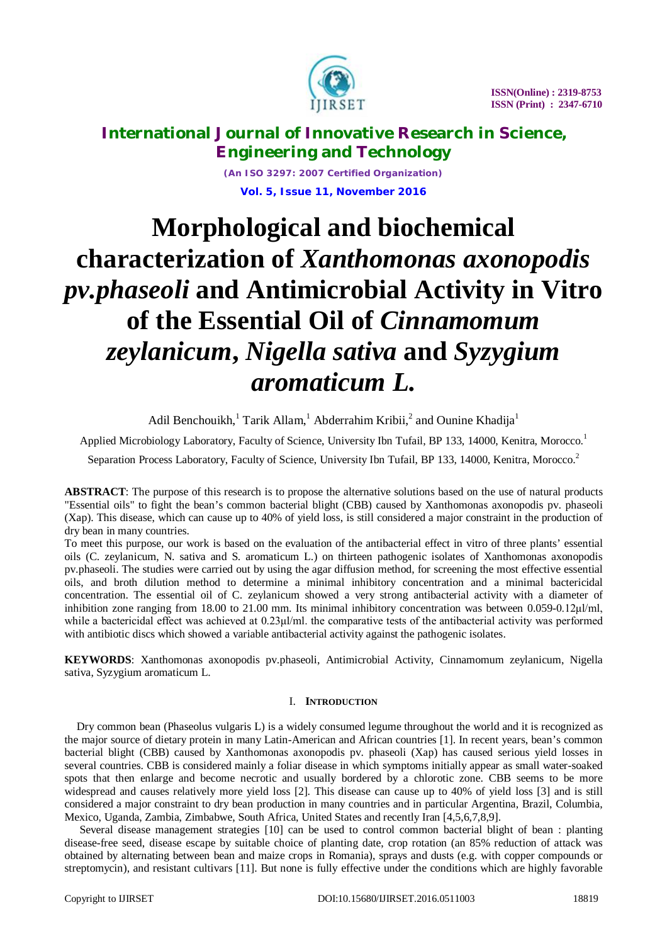

*(An ISO 3297: 2007 Certified Organization)* **Vol. 5, Issue 11, November 2016**

# **Morphological and biochemical characterization of** *Xanthomonas axonopodis pv.phaseoli* **and Antimicrobial Activity in Vitro of the Essential Oil of** *Cinnamomum zeylanicum***,** *Nigella sativa* **and** *Syzygium aromaticum L.*

Adil Benchouikh,<sup>1</sup> Tarik Allam,<sup>1</sup> Abderrahim Kribii,<sup>2</sup> and Ounine Khadija<sup>1</sup>

Applied Microbiology Laboratory, Faculty of Science, University Ibn Tufail, BP 133, 14000, Kenitra, Morocco.<sup>1</sup>

Separation Process Laboratory, Faculty of Science, University Ibn Tufail, BP 133, 14000, Kenitra, Morocco.<sup>2</sup>

**ABSTRACT**: The purpose of this research is to propose the alternative solutions based on the use of natural products "Essential oils" to fight the bean's common bacterial blight (CBB) caused by Xanthomonas axonopodis pv. phaseoli (Xap). This disease, which can cause up to 40% of yield loss, is still considered a major constraint in the production of dry bean in many countries.

To meet this purpose, our work is based on the evaluation of the antibacterial effect in vitro of three plants' essential oils (C. zeylanicum, N. sativa and S. aromaticum L.) on thirteen pathogenic isolates of Xanthomonas axonopodis pv.phaseoli. The studies were carried out by using the agar diffusion method, for screening the most effective essential oils, and broth dilution method to determine a minimal inhibitory concentration and a minimal bactericidal concentration. The essential oil of C. zeylanicum showed a very strong antibacterial activity with a diameter of inhibition zone ranging from 18.00 to 21.00 mm. Its minimal inhibitory concentration was between 0.059-0.12μl/ml, while a bactericidal effect was achieved at 0.23μl/ml. the comparative tests of the antibacterial activity was performed with antibiotic discs which showed a variable antibacterial activity against the pathogenic isolates.

**KEYWORDS**: Xanthomonas axonopodis pv.phaseoli, Antimicrobial Activity, Cinnamomum zeylanicum, Nigella sativa, Syzygium aromaticum L.

# I. **INTRODUCTION**

Dry common bean (Phaseolus vulgaris L) is a widely consumed legume throughout the world and it is recognized as the major source of dietary protein in many Latin-American and African countries [1]. In recent years, bean's common bacterial blight (CBB) caused by Xanthomonas axonopodis pv. phaseoli (Xap) has caused serious yield losses in several countries. CBB is considered mainly a foliar disease in which symptoms initially appear as small water-soaked spots that then enlarge and become necrotic and usually bordered by a chlorotic zone. CBB seems to be more widespread and causes relatively more yield loss [2]. This disease can cause up to 40% of yield loss [3] and is still considered a major constraint to dry bean production in many countries and in particular Argentina, Brazil, Columbia, Mexico, Uganda, Zambia, Zimbabwe, South Africa, United States and recently Iran [4,5,6,7,8,9].

Several disease management strategies [10] can be used to control common bacterial blight of bean : planting disease-free seed, disease escape by suitable choice of planting date, crop rotation (an 85% reduction of attack was obtained by alternating between bean and maize crops in Romania), sprays and dusts (e.g. with copper compounds or streptomycin), and resistant cultivars [11]. But none is fully effective under the conditions which are highly favorable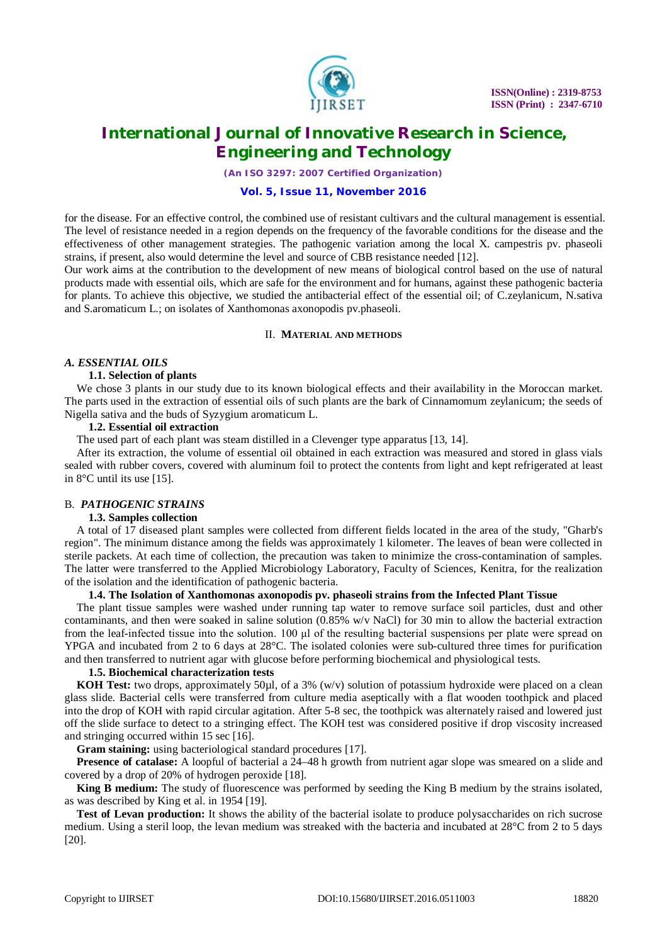

*(An ISO 3297: 2007 Certified Organization)*

# **Vol. 5, Issue 11, November 2016**

for the disease. For an effective control, the combined use of resistant cultivars and the cultural management is essential. The level of resistance needed in a region depends on the frequency of the favorable conditions for the disease and the effectiveness of other management strategies. The pathogenic variation among the local X. campestris pv. phaseoli strains, if present, also would determine the level and source of CBB resistance needed [12].

Our work aims at the contribution to the development of new means of biological control based on the use of natural products made with essential oils, which are safe for the environment and for humans, against these pathogenic bacteria for plants. To achieve this objective, we studied the antibacterial effect of the essential oil; of C.zeylanicum, N.sativa and S.aromaticum L.; on isolates of Xanthomonas axonopodis pv.phaseoli.

#### II. **MATERIAL AND METHODS**

## *A. ESSENTIAL OILS*

## **1.1. Selection of plants**

We chose 3 plants in our study due to its known biological effects and their availability in the Moroccan market. The parts used in the extraction of essential oils of such plants are the bark of Cinnamomum zeylanicum; the seeds of Nigella sativa and the buds of Syzygium aromaticum L.

#### **1.2. Essential oil extraction**

The used part of each plant was steam distilled in a Clevenger type apparatus [13, 14].

After its extraction, the volume of essential oil obtained in each extraction was measured and stored in glass vials sealed with rubber covers, covered with aluminum foil to protect the contents from light and kept refrigerated at least in 8°C until its use [15].

# B. *PATHOGENIC STRAINS*

#### **1.3. Samples collection**

A total of 17 diseased plant samples were collected from different fields located in the area of the study, "Gharb's region". The minimum distance among the fields was approximately 1 kilometer. The leaves of bean were collected in sterile packets. At each time of collection, the precaution was taken to minimize the cross-contamination of samples. The latter were transferred to the Applied Microbiology Laboratory, Faculty of Sciences, Kenitra, for the realization of the isolation and the identification of pathogenic bacteria.

## **1.4. The Isolation of Xanthomonas axonopodis pv. phaseoli strains from the Infected Plant Tissue**

The plant tissue samples were washed under running tap water to remove surface soil particles, dust and other contaminants, and then were soaked in saline solution  $(0.85\% \text{ w/v NaCl})$  for 30 min to allow the bacterial extraction from the leaf-infected tissue into the solution. 100 μl of the resulting bacterial suspensions per plate were spread on YPGA and incubated from 2 to 6 days at 28°C. The isolated colonies were sub-cultured three times for purification and then transferred to nutrient agar with glucose before performing biochemical and physiological tests.

#### **1.5. Biochemical characterization tests**

**KOH Test:** two drops, approximately 50µl, of a 3% (w/v) solution of potassium hydroxide were placed on a clean glass slide. Bacterial cells were transferred from culture media aseptically with a flat wooden toothpick and placed into the drop of KOH with rapid circular agitation. After 5-8 sec, the toothpick was alternately raised and lowered just off the slide surface to detect to a stringing effect. The KOH test was considered positive if drop viscosity increased and stringing occurred within 15 sec [16].

**Gram staining:** using bacteriological standard procedures [17].

**Presence of catalase:** A loopful of bacterial a 24–48 h growth from nutrient agar slope was smeared on a slide and covered by a drop of 20% of hydrogen peroxide [18].

**King B medium:** The study of fluorescence was performed by seeding the King B medium by the strains isolated, as was described by King et al. in 1954 [19].

**Test of Levan production:** It shows the ability of the bacterial isolate to produce polysaccharides on rich sucrose medium. Using a steril loop, the levan medium was streaked with the bacteria and incubated at 28°C from 2 to 5 days [20].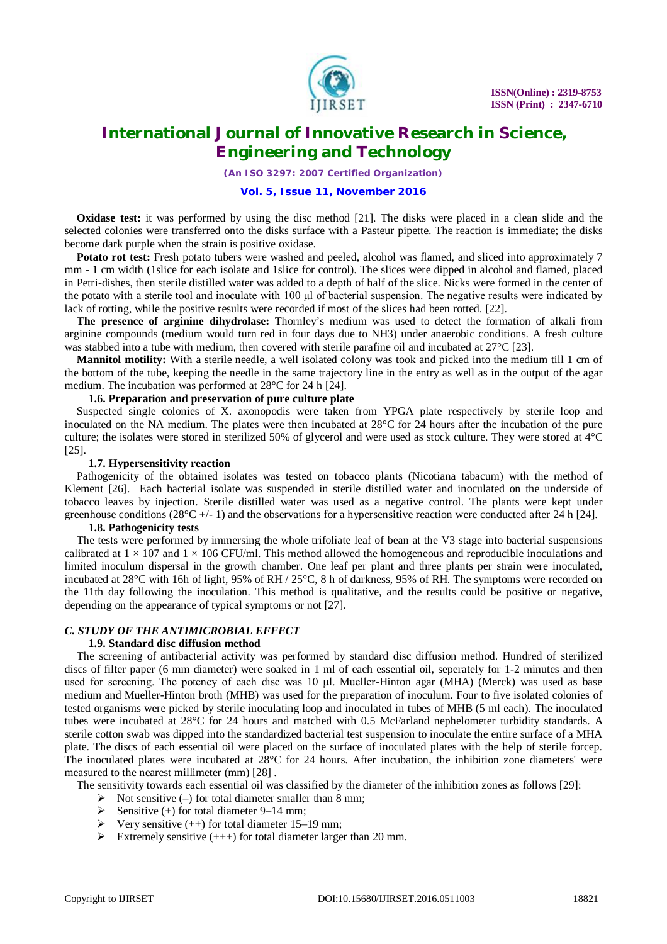

*(An ISO 3297: 2007 Certified Organization)*

## **Vol. 5, Issue 11, November 2016**

**Oxidase test:** it was performed by using the disc method [21]. The disks were placed in a clean slide and the selected colonies were transferred onto the disks surface with a Pasteur pipette. The reaction is immediate; the disks become dark purple when the strain is positive oxidase.

**Potato rot test:** Fresh potato tubers were washed and peeled, alcohol was flamed, and sliced into approximately 7 mm - 1 cm width (1slice for each isolate and 1slice for control). The slices were dipped in alcohol and flamed, placed in Petri-dishes, then sterile distilled water was added to a depth of half of the slice. Nicks were formed in the center of the potato with a sterile tool and inoculate with 100 μl of bacterial suspension. The negative results were indicated by lack of rotting, while the positive results were recorded if most of the slices had been rotted. [22].

**The presence of arginine dihydrolase:** Thornley's medium was used to detect the formation of alkali from arginine compounds (medium would turn red in four days due to NH3) under anaerobic conditions. A fresh culture was stabbed into a tube with medium, then covered with sterile parafine oil and incubated at 27°C [23].

**Mannitol motility:** With a sterile needle, a well isolated colony was took and picked into the medium till 1 cm of the bottom of the tube, keeping the needle in the same trajectory line in the entry as well as in the output of the agar medium. The incubation was performed at 28°C for 24 h [24].

## **1.6. Preparation and preservation of pure culture plate**

Suspected single colonies of X. axonopodis were taken from YPGA plate respectively by sterile loop and inoculated on the NA medium. The plates were then incubated at 28°C for 24 hours after the incubation of the pure culture; the isolates were stored in sterilized 50% of glycerol and were used as stock culture. They were stored at 4°C [25].

## **1.7. Hypersensitivity reaction**

Pathogenicity of the obtained isolates was tested on tobacco plants (Nicotiana tabacum) with the method of Klement [26]. Each bacterial isolate was suspended in sterile distilled water and inoculated on the underside of tobacco leaves by injection. Sterile distilled water was used as a negative control. The plants were kept under greenhouse conditions ( $28^{\circ}C + (-1)$ ) and the observations for a hypersensitive reaction were conducted after 24 h [24].

## **1.8. Pathogenicity tests**

The tests were performed by immersing the whole trifoliate leaf of bean at the V3 stage into bacterial suspensions calibrated at  $1 \times 107$  and  $1 \times 106$  CFU/ml. This method allowed the homogeneous and reproducible inoculations and limited inoculum dispersal in the growth chamber. One leaf per plant and three plants per strain were inoculated, incubated at 28°C with 16h of light, 95% of RH / 25°C, 8 h of darkness, 95% of RH. The symptoms were recorded on the 11th day following the inoculation. This method is qualitative, and the results could be positive or negative, depending on the appearance of typical symptoms or not [27].

# *C. STUDY OF THE ANTIMICROBIAL EFFECT*

# **1.9. Standard disc diffusion method**

The screening of antibacterial activity was performed by standard disc diffusion method. Hundred of sterilized discs of filter paper (6 mm diameter) were soaked in 1 ml of each essential oil, seperately for 1-2 minutes and then used for screening. The potency of each disc was 10 μl. Mueller-Hinton agar (MHA) (Merck) was used as base medium and Mueller-Hinton broth (MHB) was used for the preparation of inoculum. Four to five isolated colonies of tested organisms were picked by sterile inoculating loop and inoculated in tubes of MHB (5 ml each). The inoculated tubes were incubated at 28°C for 24 hours and matched with 0.5 McFarland nephelometer turbidity standards. A sterile cotton swab was dipped into the standardized bacterial test suspension to inoculate the entire surface of a MHA plate. The discs of each essential oil were placed on the surface of inoculated plates with the help of sterile forcep. The inoculated plates were incubated at  $28^{\circ}$ C for 24 hours. After incubation, the inhibition zone diameters' were measured to the nearest millimeter (mm) [28] .

The sensitivity towards each essential oil was classified by the diameter of the inhibition zones as follows [29]:

- $\triangleright$  Not sensitive (–) for total diameter smaller than 8 mm;
- Sensitive (+) for total diameter 9–14 mm;
- Very sensitive (++) for total diameter 15–19 mm;
- Extremely sensitive  $(++)$  for total diameter larger than 20 mm.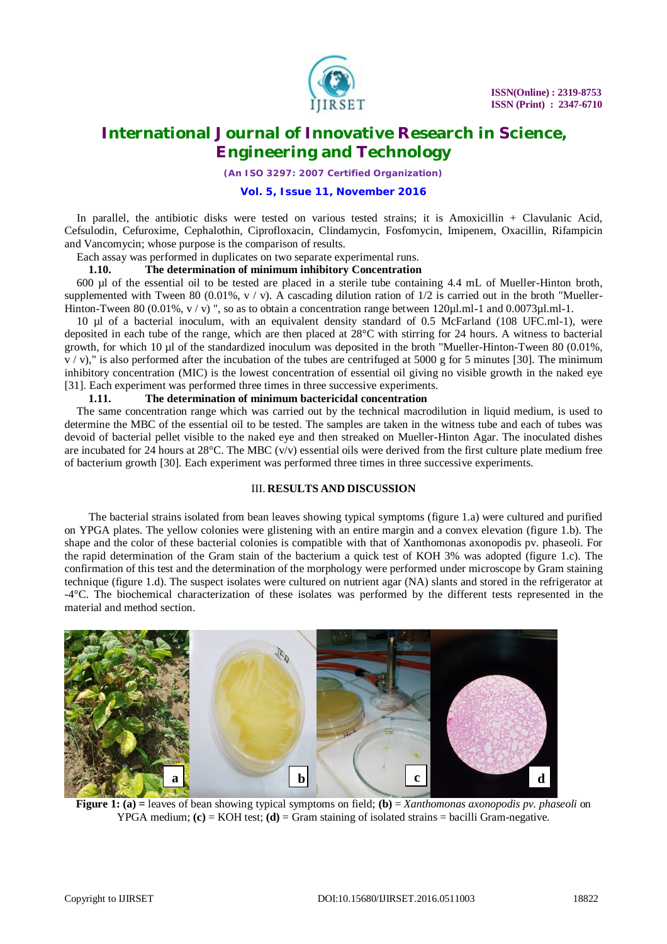

*(An ISO 3297: 2007 Certified Organization)*

# **Vol. 5, Issue 11, November 2016**

In parallel, the antibiotic disks were tested on various tested strains; it is Amoxicillin + Clavulanic Acid, Cefsulodin, Cefuroxime, Cephalothin, Ciprofloxacin, Clindamycin, Fosfomycin, Imipenem, Oxacillin, Rifampicin and Vancomycin; whose purpose is the comparison of results.

Each assay was performed in duplicates on two separate experimental runs.

## **1.10. The determination of minimum inhibitory Concentration**

600 µl of the essential oil to be tested are placed in a sterile tube containing 4.4 mL of Mueller-Hinton broth, supplemented with Tween 80 (0.01%,  $v / v$ ). A cascading dilution ration of  $1/2$  is carried out in the broth "Mueller-Hinton-Tween 80 (0.01%,  $v/v$ )", so as to obtain a concentration range between 120 $\mu$ l.ml-1 and 0.0073 $\mu$ l.ml-1.

10 µl of a bacterial inoculum, with an equivalent density standard of 0.5 McFarland (108 UFC.ml-1), were deposited in each tube of the range, which are then placed at 28°C with stirring for 24 hours. A witness to bacterial growth, for which 10 µl of the standardized inoculum was deposited in the broth "Mueller-Hinton-Tween 80 (0.01%,  $v / v$ ," is also performed after the incubation of the tubes are centrifuged at 5000 g for 5 minutes [30]. The minimum inhibitory concentration (MIC) is the lowest concentration of essential oil giving no visible growth in the naked eye [31]. Each experiment was performed three times in three successive experiments.

## **1.11. The determination of minimum bactericidal concentration**

The same concentration range which was carried out by the technical macrodilution in liquid medium, is used to determine the MBC of the essential oil to be tested. The samples are taken in the witness tube and each of tubes was devoid of bacterial pellet visible to the naked eye and then streaked on Mueller-Hinton Agar. The inoculated dishes are incubated for 24 hours at  $28^{\circ}$ C. The MBC (v/v) essential oils were derived from the first culture plate medium free of bacterium growth [30]. Each experiment was performed three times in three successive experiments.

# III. **RESULTS AND DISCUSSION**

The bacterial strains isolated from bean leaves showing typical symptoms (figure 1.a) were cultured and purified on YPGA plates. The yellow colonies were glistening with an entire margin and a convex elevation (figure 1.b). The shape and the color of these bacterial colonies is compatible with that of Xanthomonas axonopodis pv. phaseoli. For the rapid determination of the Gram stain of the bacterium a quick test of KOH 3% was adopted (figure 1.c). The confirmation of this test and the determination of the morphology were performed under microscope by Gram staining technique (figure 1.d). The suspect isolates were cultured on nutrient agar (NA) slants and stored in the refrigerator at -4°C. The biochemical characterization of these isolates was performed by the different tests represented in the material and method section.



**Figure 1: (a)** = leaves of bean showing typical symptoms on field; **(b)** = *Xanthomonas axonopodis py. phaseoli* on YPGA medium;  $(c) = KOH$  test;  $(d) = Gram$  staining of isolated strains  $=$  bacilli Gram-negative.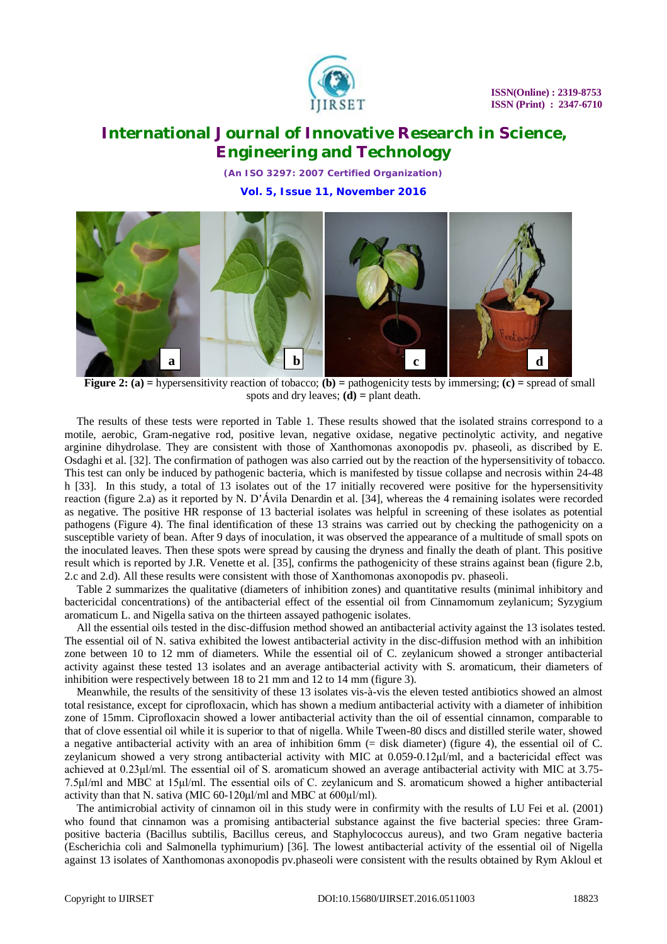

*(An ISO 3297: 2007 Certified Organization)* **Vol. 5, Issue 11, November 2016**



**Figure 2: (a) =** hypersensitivity reaction of tobacco; **(b) =** pathogenicity tests by immersing; **(c) =** spread of small spots and dry leaves; **(d) =** plant death.

The results of these tests were reported in Table 1. These results showed that the isolated strains correspond to a motile, aerobic, Gram-negative rod, positive levan, negative oxidase, negative pectinolytic activity, and negative arginine dihydrolase. They are consistent with those of Xanthomonas axonopodis pv. phaseoli, as discribed by E. Osdaghi et al. [32]. The confirmation of pathogen was also carried out by the reaction of the hypersensitivity of tobacco. This test can only be induced by pathogenic bacteria, which is manifested by tissue collapse and necrosis within 24-48 h [33]. In this study, a total of 13 isolates out of the 17 initially recovered were positive for the hypersensitivity reaction (figure 2.a) as it reported by N. D'Ávila Denardin et al. [34], whereas the 4 remaining isolates were recorded as negative. The positive HR response of 13 bacterial isolates was helpful in screening of these isolates as potential pathogens (Figure 4). The final identification of these 13 strains was carried out by checking the pathogenicity on a susceptible variety of bean. After 9 days of inoculation, it was observed the appearance of a multitude of small spots on the inoculated leaves. Then these spots were spread by causing the dryness and finally the death of plant. This positive result which is reported by J.R. Venette et al. [35], confirms the pathogenicity of these strains against bean (figure 2.b, 2.c and 2.d). All these results were consistent with those of Xanthomonas axonopodis pv. phaseoli.

Table 2 summarizes the qualitative (diameters of inhibition zones) and quantitative results (minimal inhibitory and bactericidal concentrations) of the antibacterial effect of the essential oil from Cinnamomum zeylanicum; Syzygium aromaticum L. and Nigella sativa on the thirteen assayed pathogenic isolates.

All the essential oils tested in the disc-diffusion method showed an antibacterial activity against the 13 isolates tested. The essential oil of N. sativa exhibited the lowest antibacterial activity in the disc-diffusion method with an inhibition zone between 10 to 12 mm of diameters. While the essential oil of C. zeylanicum showed a stronger antibacterial activity against these tested 13 isolates and an average antibacterial activity with S. aromaticum, their diameters of inhibition were respectively between 18 to 21 mm and 12 to 14 mm (figure 3).

Meanwhile, the results of the sensitivity of these 13 isolates vis-à-vis the eleven tested antibiotics showed an almost total resistance, except for ciprofloxacin, which has shown a medium antibacterial activity with a diameter of inhibition zone of 15mm. Ciprofloxacin showed a lower antibacterial activity than the oil of essential cinnamon, comparable to that of clove essential oil while it is superior to that of nigella. While Tween-80 discs and distilled sterile water, showed a negative antibacterial activity with an area of inhibition 6mm (= disk diameter) (figure 4), the essential oil of C. zeylanicum showed a very strong antibacterial activity with MIC at 0.059-0.12μl/ml, and a bactericidal effect was achieved at 0.23μl/ml. The essential oil of S. aromaticum showed an average antibacterial activity with MIC at 3.75- 7.5μl/ml and MBC at 15μl/ml. The essential oils of C. zeylanicum and S. aromaticum showed a higher antibacterial activity than that N. sativa (MIC 60-120μl/ml and MBC at 600µl/ml).

The antimicrobial activity of cinnamon oil in this study were in confirmity with the results of LU Fei et al. (2001) who found that cinnamon was a promising antibacterial substance against the five bacterial species: three Grampositive bacteria (Bacillus subtilis, Bacillus cereus, and Staphylococcus aureus), and two Gram negative bacteria (Escherichia coli and Salmonella typhimurium) [36]. The lowest antibacterial activity of the essential oil of Nigella against 13 isolates of Xanthomonas axonopodis pv.phaseoli were consistent with the results obtained by Rym Akloul et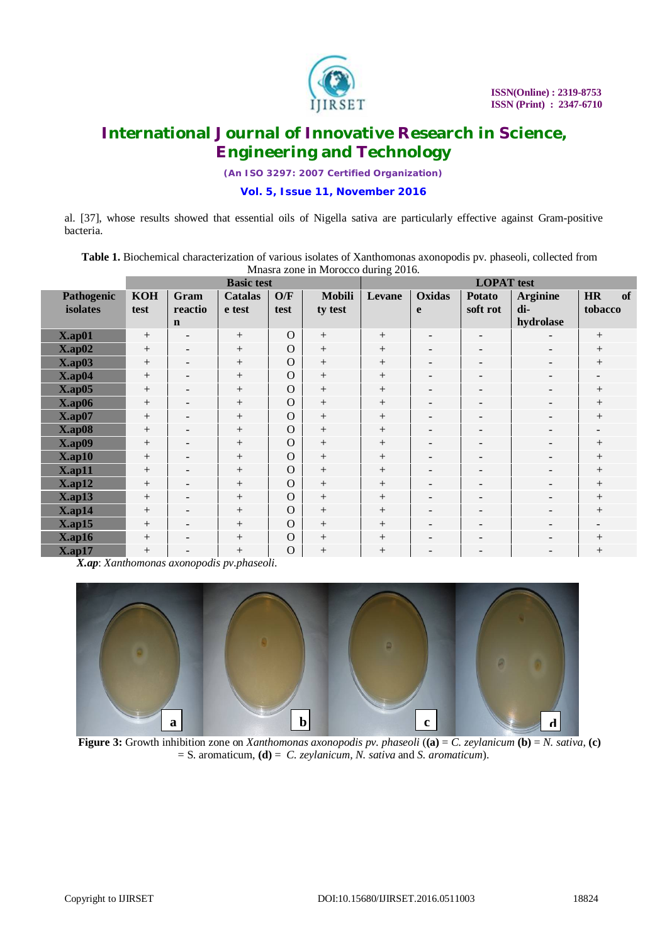

*(An ISO 3297: 2007 Certified Organization)*

# **Vol. 5, Issue 11, November 2016**

al. [37], whose results showed that essential oils of Nigella sativa are particularly effective against Gram-positive bacteria.

**Table 1.** Biochemical characterization of various isolates of Xanthomonas axonopodis pv. phaseoli, collected from Mnasra zone in Morocco during 2016.

|               | <b>Basic test</b> |                          |                |          |               | <b>LOPAT</b> test |                          |                          |                          |                          |
|---------------|-------------------|--------------------------|----------------|----------|---------------|-------------------|--------------------------|--------------------------|--------------------------|--------------------------|
| Pathogenic    | <b>KOH</b>        | Gram                     | <b>Catalas</b> | O/F      | <b>Mobili</b> | Levane            | Oxidas                   | <b>Potato</b>            | <b>Arginine</b>          | of<br><b>HR</b>          |
| isolates      | test              | reactio                  | e test         | test     | ty test       |                   | e                        | soft rot                 | di-                      | tobacco                  |
|               |                   | $\mathbf n$              |                |          |               |                   |                          |                          | hydrolase                |                          |
| $X$ .ap $01$  | $+$               | $\overline{\phantom{a}}$ | $^{+}$         | $\Omega$ | $+$           | $+$               | $\overline{\phantom{a}}$ | Ξ.                       |                          | $^{+}$                   |
| $X$ .ap $02$  | $+$               | $\sim$                   | $^{+}$         | $\Omega$ | $+$           | $+$               | $\overline{\phantom{a}}$ | -                        | $\overline{\phantom{a}}$ | $^{+}$                   |
| $X$ .ap $03$  | $+$               | $\overline{\phantom{a}}$ | $^{+}$         | $\Omega$ | $+$           | $+$               | $\overline{\phantom{a}}$ | -                        | $\overline{\phantom{0}}$ | $^{+}$                   |
| $X$ .ap $04$  |                   | $\sim$                   | $^{+}$         | $\Omega$ | $+$           | $^{+}$            | $\overline{\phantom{a}}$ | -                        | $\overline{\phantom{a}}$ | $\overline{\phantom{0}}$ |
| $X$ .ap $05$  | $+$               | $\overline{\phantom{a}}$ | $^{+}$         | $\Omega$ | $+$           | $+$               | $\overline{\phantom{a}}$ | -                        | $\overline{\phantom{a}}$ | $^{+}$                   |
| $X$ .ap $06$  | $\boldsymbol{+}$  | $\overline{\phantom{a}}$ | $^{+}$         | $\Omega$ | $+$           | $+$               | $\overline{\phantom{a}}$ | Ξ.                       |                          |                          |
| $X$ .ap $07$  | $+$               | $\overline{\phantom{a}}$ | $^{+}$         | $\Omega$ | $+$           | $+$               | $\overline{\phantom{a}}$ | -                        | $\overline{\phantom{a}}$ | $^{+}$                   |
| <b>X.ap08</b> | $+$               | $\overline{\phantom{a}}$ | $^{+}$         | $\Omega$ | $+$           | $+$               | $\overline{\phantom{a}}$ | $\qquad \qquad$          | -                        | -                        |
| $X$ .ap $09$  |                   | $\sim$                   | $^{+}$         | $\Omega$ | $+$           | $+$               | $\overline{\phantom{a}}$ | -                        | $\overline{\phantom{a}}$ | $^{+}$                   |
| $X$ .ap10     | $+$               | $\overline{\phantom{a}}$ | $^{+}$         | $\Omega$ | $+$           | $+$               | $\overline{\phantom{a}}$ | $\overline{\phantom{0}}$ | $\overline{\phantom{a}}$ | $^{+}$                   |
| $X$ .ap11     | $+$               | $\overline{\phantom{a}}$ | $^{+}$         | $\Omega$ | $+$           | $+$               | $\overline{\phantom{a}}$ | $\overline{a}$           | $\overline{\phantom{a}}$ | $^{+}$                   |
| $X$ .ap12     | $+$               | $\overline{\phantom{a}}$ | $^{+}$         | $\Omega$ | $+$           | $+$               | $\overline{\phantom{a}}$ | $\overline{\phantom{0}}$ | $\overline{\phantom{a}}$ | $^{+}$                   |
| $X$ .ap $13$  | $+$               | $\overline{\phantom{a}}$ | $^{+}$         | $\Omega$ | $+$           | $+$               | $\overline{\phantom{a}}$ | $\overline{\phantom{0}}$ | $\overline{\phantom{0}}$ |                          |
| $X$ .ap14     | $+$               | $\sim$                   | $^{+}$         | $\Omega$ | $+$           | $+$               | $\overline{\phantom{a}}$ | -                        | $\overline{\phantom{a}}$ | $^{+}$                   |
| $X$ .ap15     | $+$               | $\overline{\phantom{a}}$ | $^{+}$         | $\Omega$ | $^{+}$        | $+$               | $\overline{\phantom{a}}$ | $\overline{\phantom{0}}$ | $\overline{\phantom{0}}$ | $\overline{\phantom{a}}$ |
| $X$ .ap16     | $+$               | $\overline{\phantom{a}}$ | $^{+}$         | $\Omega$ | $+$           | $+$               | $\overline{\phantom{a}}$ | Ξ.                       | $\overline{\phantom{0}}$ | $^{+}$                   |
| $X$ .ap17     | $+$               | ۰                        | $^{+}$         | $\Omega$ | $+$           | $^{+}$            |                          | $\overline{\phantom{0}}$ |                          | $^{+}$                   |

*X.ap*: *Xanthomonas axonopodis pv.phaseoli*.



**Figure 3:** Growth inhibition zone on *Xanthomonas axonopodis pv. phaseoli* (**(a)** = *C. zeylanicum* **(b)** = *N. sativa*, **(c)** = S. aromaticum, **(d)** = *C. zeylanicum, N. sativa* and *S. aromaticum*).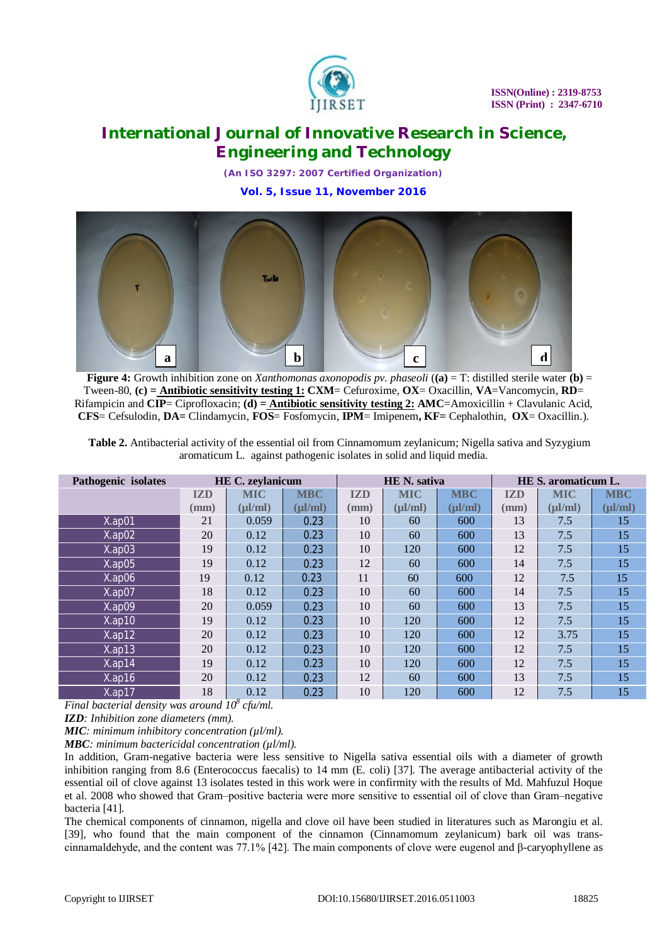

*(An ISO 3297: 2007 Certified Organization)*





**Figure 4:** Growth inhibition zone on *Xanthomonas axonopodis pv. phaseoli* (**(a)** = T: distilled sterile water **(b)** = Tween-80, **(c) = Antibiotic sensitivity testing 1: CXM**= Cefuroxime, **OX**= Oxacillin, **VA**=Vancomycin, **RD**= Rifampicin and **CIP**= Ciprofloxacin; **(d) = Antibiotic sensitivity testing 2: AMC**=Amoxicillin + Clavulanic Acid, **CFS**= Cefsulodin, **DA=** Clindamycin, **FOS**= Fosfomycin, **IPM**= Imipenem**, KF=** Cephalothin, **OX**= Oxacillin.).

| Table 2. Antibacterial activity of the essential oil from Cinnamomum zeylanicum; Nigella sativa and Syzygium |
|--------------------------------------------------------------------------------------------------------------|
| aromaticum L. against pathogenic isolates in solid and liquid media.                                         |

| Pathogenic isolates |                 | <b>HE C. zeylanicum</b> |              |            | <b>HE</b> N. sativa |              | HE S. aromaticum L. |              |              |
|---------------------|-----------------|-------------------------|--------------|------------|---------------------|--------------|---------------------|--------------|--------------|
|                     | <b>IZD</b>      | <b>MIC</b>              | <b>MBC</b>   | <b>IZD</b> | <b>MIC</b>          | <b>MBC</b>   | <b>IZD</b>          | <b>MIC</b>   | <b>MBC</b>   |
|                     | $(\mathbf{mm})$ | $(\mu l/ml)$            | $(\mu l/ml)$ | (mm)       | $(\mu l/ml)$        | $(\mu l/ml)$ | (mm)                | $(\mu l/ml)$ | $(\mu l/ml)$ |
| $X$ .ap01           | 21              | 0.059                   | 0.23         | 10         | 60                  | 600          | 13                  | 7.5          | 15           |
| $X$ .ap $02$        | 20              | 0.12                    | 0.23         | 10         | 60                  | 600          | 13                  | 7.5          | 15           |
| $X$ .ap $03$        | 19              | 0.12                    | 0.23         | 10         | 120                 | 600          | 12                  | 7.5          | 15           |
| $X$ .ap05           | 19              | 0.12                    | 0.23         | 12         | 60                  | 600          | 14                  | 7.5          | 15           |
| $X$ .ap06           | 19              | 0.12                    | 0.23         | 11         | 60                  | 600          | 12                  | 7.5          | 15           |
| $X$ .ap07           | 18              | 0.12                    | 0.23         | 10         | 60                  | 600          | 14                  | 7.5          | 15           |
| $X$ .ap09           | 20              | 0.059                   | 0.23         | 10         | 60                  | 600          | 13                  | 7.5          | 15           |
| $X$ .ap10           | 19              | 0.12                    | 0.23         | 10         | 120                 | 600          | 12                  | 7.5          | 15           |
| $X$ .ap12           | 20              | 0.12                    | 0.23         | 10         | 120                 | 600          | 12                  | 3.75         | 15           |
| $X$ .ap13           | 20              | 0.12                    | 0.23         | 10         | 120                 | 600          | 12                  | 7.5          | 15           |
| $X$ .ap14           | 19              | 0.12                    | 0.23         | 10         | 120                 | 600          | 12                  | 7.5          | 15           |
| $X$ .ap16           | 20              | 0.12                    | 0.23         | 12         | 60                  | 600          | 13                  | 7.5          | 15           |
| $X$ .ap17           | 18              | 0.12                    | 0.23         | 10         | 120                 | 600          | 12                  | 7.5          | 15           |

*Final bacterial density was around 10<sup>8</sup> cfu/ml.*

*IZD: Inhibition zone diameters (mm).* 

*MIC: minimum inhibitory concentration (µl/ml)*.

*MBC: minimum bactericidal concentration (µl/ml).*

In addition, Gram-negative bacteria were less sensitive to Nigella sativa essential oils with a diameter of growth inhibition ranging from 8.6 (Enterococcus faecalis) to 14 mm (E. coli) [37]. The average antibacterial activity of the essential oil of clove against 13 isolates tested in this work were in confirmity with the results of Md. Mahfuzul Hoque et al. 2008 who showed that Gram–positive bacteria were more sensitive to essential oil of clove than Gram–negative bacteria [41].

The chemical components of cinnamon, nigella and clove oil have been studied in literatures such as Marongiu et al. [39], who found that the main component of the cinnamon (Cinnamomum zeylanicum) bark oil was transcinnamaldehyde, and the content was 77.1% [42]. The main components of clove were eugenol and β-caryophyllene as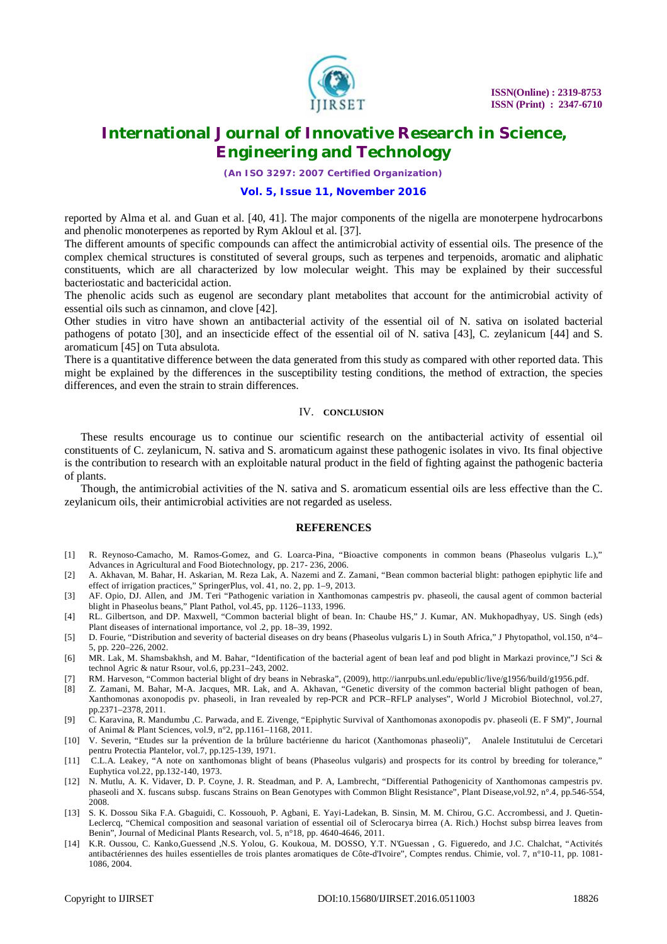

*(An ISO 3297: 2007 Certified Organization)*

## **Vol. 5, Issue 11, November 2016**

reported by Alma et al. and Guan et al. [40, 41]. The major components of the nigella are monoterpene hydrocarbons and phenolic monoterpenes as reported by Rym Akloul et al. [37].

The different amounts of specific compounds can affect the antimicrobial activity of essential oils. The presence of the complex chemical structures is constituted of several groups, such as terpenes and terpenoids, aromatic and aliphatic constituents, which are all characterized by low molecular weight. This may be explained by their successful bacteriostatic and bactericidal action.

The phenolic acids such as eugenol are secondary plant metabolites that account for the antimicrobial activity of essential oils such as cinnamon, and clove [42].

Other studies in vitro have shown an antibacterial activity of the essential oil of N. sativa on isolated bacterial pathogens of potato [30], and an insecticide effect of the essential oil of N. sativa [43], C. zeylanicum [44] and S. aromaticum [45] on Tuta absulota.

There is a quantitative difference between the data generated from this study as compared with other reported data. This might be explained by the differences in the susceptibility testing conditions, the method of extraction, the species differences, and even the strain to strain differences.

#### IV. **CONCLUSION**

These results encourage us to continue our scientific research on the antibacterial activity of essential oil constituents of C. zeylanicum, N. sativa and S. aromaticum against these pathogenic isolates in vivo. Its final objective is the contribution to research with an exploitable natural product in the field of fighting against the pathogenic bacteria of plants.

Though, the antimicrobial activities of the N. sativa and S. aromaticum essential oils are less effective than the C. zeylanicum oils, their antimicrobial activities are not regarded as useless.

## **REFERENCES**

- [1] R. Reynoso-Camacho, M. Ramos-Gomez, and G. Loarca-Pina, "Bioactive components in common beans (Phaseolus vulgaris L.)," Advances in Agricultural and Food Biotechnology, pp. 217- 236, 2006.
- [2] A. Akhavan, M. Bahar, H. Askarian, M. Reza Lak, A. Nazemi and Z. Zamani, "Bean common bacterial blight: pathogen epiphytic life and effect of irrigation practices," SpringerPlus, vol. 41, no. 2, pp. 1–9, 2013.
- [3] AF. Opio, DJ. Allen, and JM. Teri "Pathogenic variation in Xanthomonas campestris pv. phaseoli, the causal agent of common bacterial blight in Phaseolus beans," Plant Pathol, vol.45, pp. 1126–1133, 1996.
- [4] RL. Gilbertson, and DP. Maxwell, "Common bacterial blight of bean. In: Chaube HS," J. Kumar, AN. Mukhopadhyay, US. Singh (eds) Plant diseases of international importance, vol .2, pp. 18–39, 1992.
- [5] D. Fourie, "Distribution and severity of bacterial diseases on dry beans (Phaseolus vulgaris L) in South Africa," J Phytopathol, vol.150, n°4– 5, pp. 220–226, 2002.
- [6] MR. Lak, M. Shamsbakhsh, and M. Bahar, "Identification of the bacterial agent of bean leaf and pod blight in Markazi province,"J Sci & technol Agric & natur Rsour, vol.6, pp.231–243, 2002.
- [7] RM. Harveson, "Common bacterial blight of dry beans in Nebraska", (2009),<http://ianrpubs.unl.edu/epublic/live/g1956/build/g1956.pdf.>
- [8] Z. Zamani, M. Bahar, M-A. Jacques, MR. Lak, and A. Akhavan, "Genetic diversity of the common bacterial blight pathogen of bean, Xanthomonas axonopodis pv. phaseoli, in Iran revealed by rep-PCR and PCR–RFLP analyses", World J Microbiol Biotechnol, vol.27, pp.2371–2378, 2011.
- [9] C. Karavina, R. Mandumbu ,C. Parwada, and E. Zivenge, "Epiphytic Survival of Xanthomonas axonopodis pv. phaseoli (E. F SM)", Journal of Animal & Plant Sciences, vol.9, n°2, pp.1161–1168, 2011.
- [10] V. Severin, "Etudes sur la prévention de la brûlure bactérienne du haricot (Xanthomonas phaseoli)", Analele Institutului de Cercetari pentru Protectia Plantelor, vol.7, pp.125-139, 1971.
- [11] C.L.A. Leakey, "A note on xanthomonas blight of beans (Phaseolus vulgaris) and prospects for its control by breeding for tolerance," Euphytica vol.22, pp.132-140, 1973.
- [12] N. Mutlu, A. K. Vidaver, D. P. Coyne, J. R. Steadman, and P. A, Lambrecht, "Differential Pathogenicity of Xanthomonas campestris pv. phaseoli and X. fuscans subsp. fuscans Strains on Bean Genotypes with Common Blight Resistance", Plant Disease,vol.92, n°.4, pp.546-554, 2008.
- [13] S. K. Dossou Sika F.A. Gbaguidi, C. Kossouoh, P. Agbani, E. Yayi-Ladekan, B. Sinsin, M. M. Chirou, G.C. Accrombessi, and J. Quetin-Leclercq, "Chemical composition and seasonal variation of essential oil of Sclerocarya birrea (A. Rich.) Hochst subsp birrea leaves from Benin", Journal of Medicinal Plants Research, vol. 5, n°18, pp. 4640-4646, 2011.
- [14] K.R. Oussou, C. Kanko,Guessend ,N.S. Yolou, G. Koukoua, M. DOSSO, Y.T. N'Guessan , G. Figueredo, and J.C. Chalchat, "Activités antibactériennes des huiles essentielles de trois plantes aromatiques de Côte-d'Ivoire", Comptes rendus. Chimie, vol. 7, n°10-11, pp. 1081- 1086, 2004.